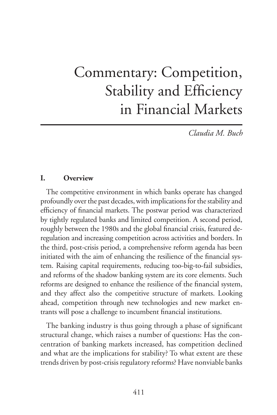## Commentary: Competition, Stability and Efficiency in Financial Markets

*Claudia M. Buch*

## **I. Overview**

The competitive environment in which banks operate has changed profoundly over the past decades, with implications for the stability and efficiency of financial markets. The postwar period was characterized by tightly regulated banks and limited competition. A second period, roughly between the 1980s and the global financial crisis, featured deregulation and increasing competition across activities and borders. In the third, post-crisis period, a comprehensive reform agenda has been initiated with the aim of enhancing the resilience of the financial system. Raising capital requirements, reducing too-big-to-fail subsidies, and reforms of the shadow banking system are its core elements. Such reforms are designed to enhance the resilience of the financial system, and they affect also the competitive structure of markets. Looking ahead, competition through new technologies and new market entrants will pose a challenge to incumbent financial institutions.

The banking industry is thus going through a phase of significant structural change, which raises a number of questions: Has the concentration of banking markets increased, has competition declined and what are the implications for stability? To what extent are these trends driven by post-crisis regulatory reforms? Have nonviable banks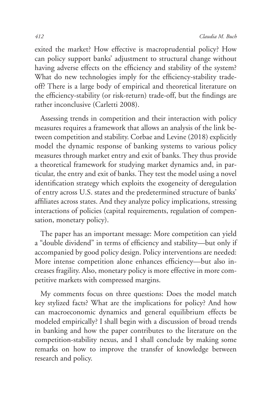exited the market? How effective is macroprudential policy? How can policy support banks' adjustment to structural change without having adverse effects on the efficiency and stability of the system? What do new technologies imply for the efficiency-stability tradeoff? There is a large body of empirical and theoretical literature on the efficiency-stability (or risk-return) trade-off, but the findings are rather inconclusive (Carletti 2008).

Assessing trends in competition and their interaction with policy measures requires a framework that allows an analysis of the link between competition and stability. Corbae and Levine (2018) explicitly model the dynamic response of banking systems to various policy measures through market entry and exit of banks. They thus provide a theoretical framework for studying market dynamics and, in particular, the entry and exit of banks. They test the model using a novel identification strategy which exploits the exogeneity of deregulation of entry across U.S. states and the predetermined structure of banks' affiliates across states. And they analyze policy implications, stressing interactions of policies (capital requirements, regulation of compensation, monetary policy).

The paper has an important message: More competition can yield a "double dividend" in terms of efficiency and stability—but only if accompanied by good policy design. Policy interventions are needed: More intense competition alone enhances efficiency—but also increases fragility. Also, monetary policy is more effective in more competitive markets with compressed margins.

My comments focus on three questions: Does the model match key stylized facts? What are the implications for policy? And how can macroeconomic dynamics and general equilibrium effects be modeled empirically? I shall begin with a discussion of broad trends in banking and how the paper contributes to the literature on the competition-stability nexus, and I shall conclude by making some remarks on how to improve the transfer of knowledge between research and policy.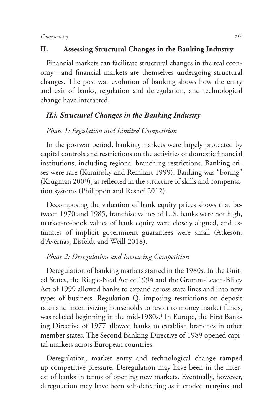## **II. Assessing Structural Changes in the Banking Industry**

Financial markets can facilitate structural changes in the real economy—and financial markets are themselves undergoing structural changes. The post-war evolution of banking shows how the entry and exit of banks, regulation and deregulation, and technological change have interacted.

## *II.i. Structural Changes in the Banking Industry*

## *Phase 1: Regulation and Limited Competition*

In the postwar period, banking markets were largely protected by capital controls and restrictions on the activities of domestic financial institutions, including regional branching restrictions. Banking crises were rare (Kaminsky and Reinhart 1999). Banking was "boring" (Krugman 2009), as reflected in the structure of skills and compensation systems (Philippon and Reshef 2012).

Decomposing the valuation of bank equity prices shows that between 1970 and 1985, franchise values of U.S. banks were not high, market-to-book values of bank equity were closely aligned, and estimates of implicit government guarantees were small (Atkeson, d'Avernas, Eisfeldt and Weill 2018).

## *Phase 2: Deregulation and Increasing Competition*

Deregulation of banking markets started in the 1980s. In the United States, the Riegle-Neal Act of 1994 and the Gramm-Leach-Bliley Act of 1999 allowed banks to expand across state lines and into new types of business. Regulation Q, imposing restrictions on deposit rates and incentivizing households to resort to money market funds, was relaxed beginning in the mid-1980s.<sup>1</sup> In Europe, the First Banking Directive of 1977 allowed banks to establish branches in other member states. The Second Banking Directive of 1989 opened capital markets across European countries.

Deregulation, market entry and technological change ramped up competitive pressure. Deregulation may have been in the interest of banks in terms of opening new markets. Eventually, however, deregulation may have been self-defeating as it eroded margins and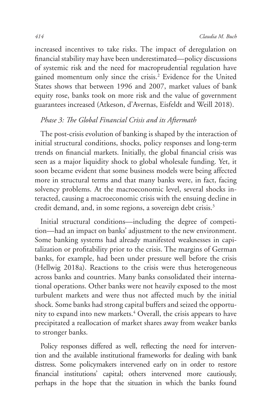increased incentives to take risks. The impact of deregulation on financial stability may have been underestimated—policy discussions of systemic risk and the need for macroprudential regulation have gained momentum only since the crisis.<sup>2</sup> Evidence for the United States shows that between 1996 and 2007, market values of bank equity rose, banks took on more risk and the value of government guarantees increased (Atkeson, d'Avernas, Eisfeldt and Weill 2018).

## *Phase 3: The Global Financial Crisis and its Aftermath*

The post-crisis evolution of banking is shaped by the interaction of initial structural conditions, shocks, policy responses and long-term trends on financial markets. Initially, the global financial crisis was seen as a major liquidity shock to global wholesale funding. Yet, it soon became evident that some business models were being affected more in structural terms and that many banks were, in fact, facing solvency problems. At the macroeconomic level, several shocks interacted, causing a macroeconomic crisis with the ensuing decline in credit demand, and, in some regions, a sovereign debt crisis.<sup>3</sup>

Initial structural conditions—including the degree of competition—had an impact on banks' adjustment to the new environment. Some banking systems had already manifested weaknesses in capitalization or profitability prior to the crisis. The margins of German banks, for example, had been under pressure well before the crisis (Hellwig 2018a). Reactions to the crisis were thus heterogeneous across banks and countries. Many banks consolidated their international operations. Other banks were not heavily exposed to the most turbulent markets and were thus not affected much by the initial shock. Some banks had strong capital buffers and seized the opportunity to expand into new markets.4 Overall, the crisis appears to have precipitated a reallocation of market shares away from weaker banks to stronger banks.

Policy responses differed as well, reflecting the need for intervention and the available institutional frameworks for dealing with bank distress. Some policymakers intervened early on in order to restore financial institutions' capital; others intervened more cautiously, perhaps in the hope that the situation in which the banks found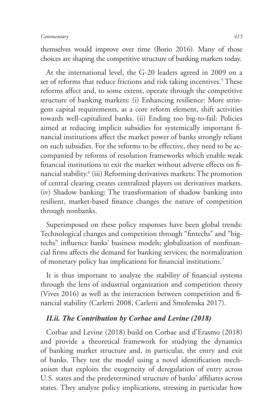themselves would improve over time (Borio 2016). Many of those choices are shaping the competitive structure of banking markets today.

At the international level, the G-20 leaders agreed in 2009 on a set of reforms that reduce frictions and risk taking incentives.<sup>5</sup> These reforms affect and, to some extent, operate through the competitive structure of banking markets: (i) Enhancing resilience: More stringent capital requirements, as a core reform element, shift activities towards well-capitalized banks. (ii) Ending too big-to-fail: Policies aimed at reducing implicit subsidies for systemically important financial institutions affect the market power of banks strongly reliant on such subsidies. For the reforms to be effective, they need to be accompanied by reforms of resolution frameworks which enable weak financial institutions to exit the market without adverse effects on financial stability.<sup>6</sup> (iii) Reforming derivatives markets: The promotion of central clearing creates centralized players on derivatives markets. (iv) Shadow banking: The transformation of shadow banking into resilient, market-based finance changes the nature of competition through nonbanks.

Superimposed on these policy responses have been global trends: Technological changes and competition through "fintechs" and "bigtechs" influence banks' business models; globalization of nonfinancial firms affects the demand for banking services; the normalization of monetary policy has implications for financial institutions.<sup>7</sup>

It is thus important to analyze the stability of financial systems through the lens of industrial organization and competition theory (Vives 2016) as well as the interaction between competition and financial stability (Carletti 2008, Carletti and Smolenska 2017).

## *II.ii. The Contribution by Corbae and Levine (2018)*

Corbae and Levine (2018) build on Corbae and d'Erasmo (2018) and provide a theoretical framework for studying the dynamics of banking market structure and, in particular, the entry and exit of banks. They test the model using a novel identification mechanism that exploits the exogeneity of deregulation of entry across U.S. states and the predetermined structure of banks' affiliates across states. They analyze policy implications, stressing in particular how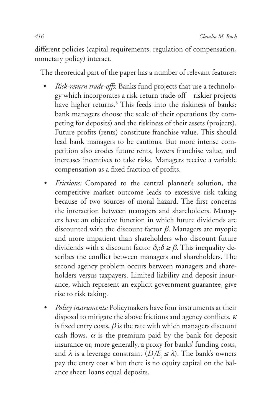different policies (capital requirements, regulation of compensation, monetary policy) interact.

The theoretical part of the paper has a number of relevant features:

- *Risk-return trade-offs*: Banks fund projects that use a technology which incorporates a risk-return trade-off—riskier projects have higher returns.<sup>8</sup> This feeds into the riskiness of banks: bank managers choose the scale of their operations (by competing for deposits) and the riskiness of their assets (projects). Future profits (rents) constitute franchise value. This should lead bank managers to be cautious. But more intense competition also erodes future rents, lowers franchise value, and increases incentives to take risks. Managers receive a variable compensation as a fixed fraction of profits.
- *Frictions:* Compared to the central planner's solution, the competitive market outcome leads to excessive risk taking because of two sources of moral hazard. The first concerns the interaction between managers and shareholders. Managers have an objective function in which future dividends are discounted with the discount factor  $\beta$ . Managers are myopic and more impatient than shareholders who discount future dividends with a discount factor  $\delta$ : $\delta \geq \beta$ . This inequality describes the conflict between managers and shareholders. The second agency problem occurs between managers and shareholders versus taxpayers. Limited liability and deposit insurance, which represent an explicit government guarantee, give rise to risk taking.
- *• Policy instruments:* Policymakers have four instruments at their disposal to mitigate the above frictions and agency conflicts.  $\kappa$ is fixed entry costs,  $\beta$  is the rate with which managers discount cash flows,  $\alpha$  is the premium paid by the bank for deposit insurance or, more generally, a proxy for banks' funding costs, and  $\lambda$  is a leverage constraint  $(D/E_i \leq \lambda)$ . The bank's owners pay the entry cost  $\kappa$  but there is no equity capital on the balance sheet: loans equal deposits.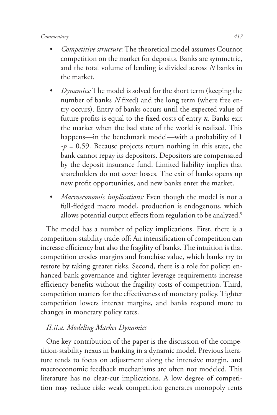- *• Competitive structure:* The theoretical model assumes Cournot competition on the market for deposits. Banks are symmetric, and the total volume of lending is divided across *N* banks in the market.
- *Dynamics:* The model is solved for the short term (keeping the number of banks *N* fixed) and the long term (where free entry occurs). Entry of banks occurs until the expected value of future profits is equal to the fixed costs of entry  $\kappa$ . Banks exit the market when the bad state of the world is realized. This happens—in the benchmark model—with a probability of 1  $-p = 0.59$ . Because projects return nothing in this state, the bank cannot repay its depositors. Depositors are compensated by the deposit insurance fund. Limited liability implies that shareholders do not cover losses. The exit of banks opens up new profit opportunities, and new banks enter the market.
- *• Macroeconomic implications:* Even though the model is not a full-fledged macro model, production is endogenous, which allows potential output effects from regulation to be analyzed.<sup>9</sup>

The model has a number of policy implications. First, there is a competition-stability trade-off: An intensification of competition can increase efficiency but also the fragility of banks. The intuition is that competition erodes margins and franchise value, which banks try to restore by taking greater risks. Second, there is a role for policy: enhanced bank governance and tighter leverage requirements increase efficiency benefits without the fragility costs of competition. Third, competition matters for the effectiveness of monetary policy. Tighter competition lowers interest margins, and banks respond more to changes in monetary policy rates.

## *II.ii.a. Modeling Market Dynamics*

One key contribution of the paper is the discussion of the competition-stability nexus in banking in a dynamic model. Previous literature tends to focus on adjustment along the intensive margin, and macroeconomic feedback mechanisms are often not modeled. This literature has no clear-cut implications. A low degree of competition may reduce risk: weak competition generates monopoly rents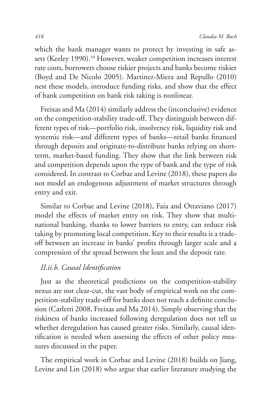which the bank manager wants to protect by investing in safe assets (Keeley 1990).<sup>10</sup> However, weaker competition increases interest rate costs, borrowers choose riskier projects and banks become riskier (Boyd and De Nicolo 2005). Martinez-Miera and Repullo (2010) nest these models, introduce funding risks, and show that the effect of bank competition on bank risk taking is nonlinear.

Freixas and Ma (2014) similarly address the (inconclusive) evidence on the competition-stability trade-off. They distinguish between different types of risk—portfolio risk, insolvency risk, liquidity risk and systemic risk—and different types of banks—retail banks financed through deposits and originate-to-distribute banks relying on shortterm, market-based funding. They show that the link between risk and competition depends upon the type of bank and the type of risk considered. In contrast to Corbae and Levine (2018), these papers do not model an endogenous adjustment of market structures through entry and exit.

Similar to Corbae and Levine (2018), Faia and Ottaviano (2017) model the effects of market entry on risk. They show that multinational banking, thanks to lower barriers to entry, can reduce risk taking by promoting local competition. Key to their results is a tradeoff between an increase in banks' profits through larger scale and a compression of the spread between the loan and the deposit rate.

## *II.ii.b. Causal Identification*

Just as the theoretical predictions on the competition-stability nexus are not clear-cut, the vast body of empirical work on the competition-stability trade-off for banks does not reach a definite conclusion (Carletti 2008, Freixas and Ma 2014). Simply observing that the riskiness of banks increased following deregulation does not tell us whether deregulation has caused greater risks. Similarly, causal identification is needed when assessing the effects of other policy measures discussed in the paper.

The empirical work in Corbae and Levine (2018) builds on Jiang, Levine and Lin (2018) who argue that earlier literature studying the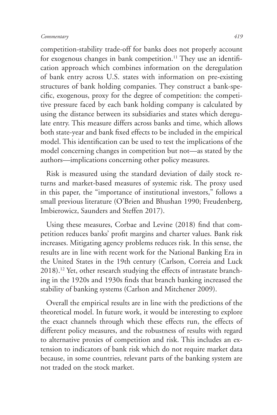competition-stability trade-off for banks does not properly account for exogenous changes in bank competition.<sup>11</sup> They use an identification approach which combines information on the deregulation of bank entry across U.S. states with information on pre-existing structures of bank holding companies. They construct a bank-specific, exogenous, proxy for the degree of competition: the competitive pressure faced by each bank holding company is calculated by using the distance between its subsidiaries and states which deregulate entry. This measure differs across banks and time, which allows both state-year and bank fixed effects to be included in the empirical model. This identification can be used to test the implications of the model concerning changes in competition but not—as stated by the authors—implications concerning other policy measures.

Risk is measured using the standard deviation of daily stock returns and market-based measures of systemic risk. The proxy used in this paper, the "importance of institutional investors," follows a small previous literature (O'Brien and Bhushan 1990; Freudenberg, Imbierowicz, Saunders and Steffen 2017).

Using these measures, Corbae and Levine (2018) find that competition reduces banks' profit margins and charter values. Bank risk increases. Mitigating agency problems reduces risk. In this sense, the results are in line with recent work for the National Banking Era in the United States in the 19th century (Carlson, Correia and Luck 2018).12 Yet, other research studying the effects of intrastate branching in the 1920s and 1930s finds that branch banking increased the stability of banking systems (Carlson and Mitchener 2009).

Overall the empirical results are in line with the predictions of the theoretical model. In future work, it would be interesting to explore the exact channels through which these effects run, the effects of different policy measures, and the robustness of results with regard to alternative proxies of competition and risk. This includes an extension to indicators of bank risk which do not require market data because, in some countries, relevant parts of the banking system are not traded on the stock market.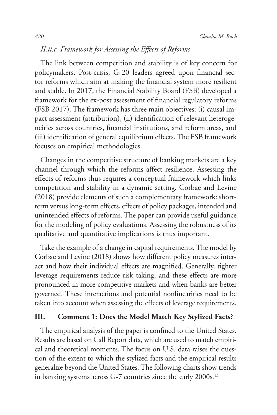## *II.ii.c. Framework for Assessing the Effects of Reforms*

The link between competition and stability is of key concern for policymakers. Post-crisis, G-20 leaders agreed upon financial sector reforms which aim at making the financial system more resilient and stable. In 2017, the Financial Stability Board (FSB) developed a framework for the ex-post assessment of financial regulatory reforms (FSB 2017). The framework has three main objectives: (i) causal impact assessment (attribution), (ii) identification of relevant heterogeneities across countries, financial institutions, and reform areas, and (iii) identification of general equilibrium effects. The FSB framework focuses on empirical methodologies.

Changes in the competitive structure of banking markets are a key channel through which the reforms affect resilience. Assessing the effects of reforms thus requires a conceptual framework which links competition and stability in a dynamic setting. Corbae and Levine (2018) provide elements of such a complementary framework: shortterm versus long-term effects, effects of policy packages, intended and unintended effects of reforms. The paper can provide useful guidance for the modeling of policy evaluations. Assessing the robustness of its qualitative and quantitative implications is thus important.

Take the example of a change in capital requirements. The model by Corbae and Levine (2018) shows how different policy measures interact and how their individual effects are magnified. Generally, tighter leverage requirements reduce risk taking, and these effects are more pronounced in more competitive markets and when banks are better governed. These interactions and potential nonlinearities need to be taken into account when assessing the effects of leverage requirements.

## **III. Comment 1: Does the Model Match Key Stylized Facts?**

The empirical analysis of the paper is confined to the United States. Results are based on Call Report data, which are used to match empirical and theoretical moments. The focus on U.S. data raises the question of the extent to which the stylized facts and the empirical results generalize beyond the United States. The following charts show trends in banking systems across G-7 countries since the early 2000s.<sup>13</sup>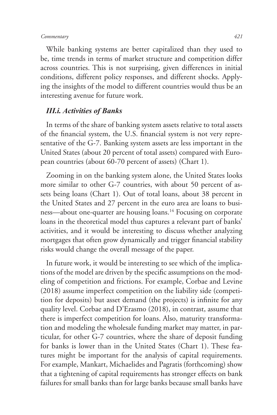While banking systems are better capitalized than they used to be, time trends in terms of market structure and competition differ across countries. This is not surprising, given differences in initial conditions, different policy responses, and different shocks. Applying the insights of the model to different countries would thus be an interesting avenue for future work.

## *III.i. Activities of Banks*

In terms of the share of banking system assets relative to total assets of the financial system, the U.S. financial system is not very representative of the G-7. Banking system assets are less important in the United States (about 20 percent of total assets) compared with European countries (about 60-70 percent of assets) (Chart 1).

Zooming in on the banking system alone, the United States looks more similar to other G-7 countries, with about 50 percent of assets being loans (Chart 1). Out of total loans, about 38 percent in the United States and 27 percent in the euro area are loans to business—about one-quarter are housing loans.<sup>14</sup> Focusing on corporate loans in the theoretical model thus captures a relevant part of banks' activities, and it would be interesting to discuss whether analyzing mortgages that often grow dynamically and trigger financial stability risks would change the overall message of the paper.

In future work, it would be interesting to see which of the implications of the model are driven by the specific assumptions on the modeling of competition and frictions. For example, Corbae and Levine (2018) assume imperfect competition on the liability side (competition for deposits) but asset demand (the projects) is infinite for any quality level. Corbae and D'Erasmo (2018), in contrast, assume that there is imperfect competition for loans. Also, maturity transformation and modeling the wholesale funding market may matter, in particular, for other G-7 countries, where the share of deposit funding for banks is lower than in the United States (Chart 1). These features might be important for the analysis of capital requirements. For example, Mankart, Michaelides and Pagratis (forthcoming) show that a tightening of capital requirements has stronger effects on bank failures for small banks than for large banks because small banks have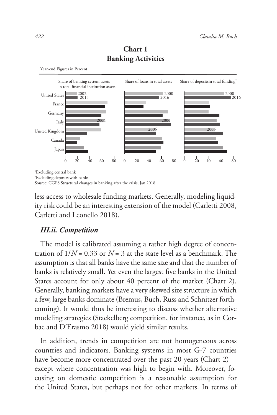

## **Chart 1 Banking Activities**

1 Excluding central bank

Year-end Figures in Percent

Source: CGFS Structural changes in banking after the crisis, Jan 2018.

less access to wholesale funding markets. Generally, modeling liquidity risk could be an interesting extension of the model (Carletti 2008, Carletti and Leonello 2018).

#### *III.ii. Competition*

The model is calibrated assuming a rather high degree of concentration of  $1/N = 0.33$  or  $N = 3$  at the state level as a benchmark. The assumption is that all banks have the same size and that the number of banks is relatively small. Yet even the largest five banks in the United States account for only about 40 percent of the market (Chart 2). Generally, banking markets have a very skewed size structure in which a few, large banks dominate (Bremus, Buch, Russ and Schnitzer forthcoming). It would thus be interesting to discuss whether alternative modeling strategies (Stackelberg competition, for instance, as in Corbae and D'Erasmo 2018) would yield similar results.

In addition, trends in competition are not homogeneous across countries and indicators. Banking systems in most G-7 countries have become more concentrated over the past 20 years (Chart 2) except where concentration was high to begin with. Moreover, focusing on domestic competition is a reasonable assumption for the United States, but perhaps not for other markets. In terms of

<sup>2</sup> Excluding deposits with banks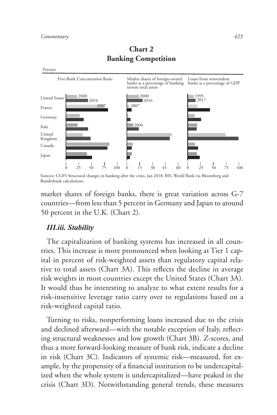

## **Chart 2 Banking Competition**

Sources: CGFS Structural changes in banking after the crisis, Jan 2018; BIS, World Bank via Bloomberg and Bundesbank calculations.

market shares of foreign banks, there is great variation across G-7 countries—from less than 5 percent in Germany and Japan to around 50 percent in the U.K. (Chart 2).

## *III.iii. Stability*

The capitalization of banking systems has increased in all countries. This increase is more pronounced when looking at Tier 1 capital in percent of risk-weighted assets than regulatory capital relative to total assets (Chart 3A). This reflects the decline in average risk weights in most countries except the United States (Chart 3A). It would thus be interesting to analyze to what extent results for a risk-insensitive leverage ratio carry over to regulations based on a risk-weighted capital ratio.

Turning to risks, nonperforming loans increased due to the crisis and declined afterward—with the notable exception of Italy, reflecting structural weaknesses and low growth (Chart 3B). Z-scores, and thus a more forward-looking measure of bank risk, indicate a decline in risk (Chart 3C). Indicators of systemic risk—measured, for example, by the propensity of a financial institution to be undercapitalized when the whole system is undercapitalized—have peaked in the crisis (Chart 3D). Notwithstanding general trends, these measures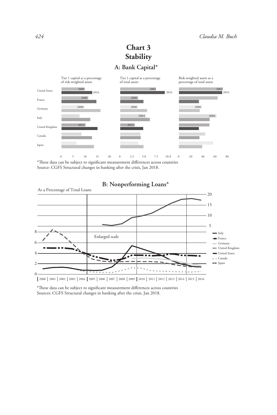## **A: Bank Capital\* Chart 3 Stability**



0 5 10 15 20 \*These data can be subject to significant measurement differences across countries Source: CGFS Structural changes in banking after the crisis, Jan 2018. 0 20 40 60 80



**B: Nonperforming Loans\***

\*These data can be subject to significant measurement differences across countries Sources: CGFS Structural changes in banking after the crisis, Jan 2018.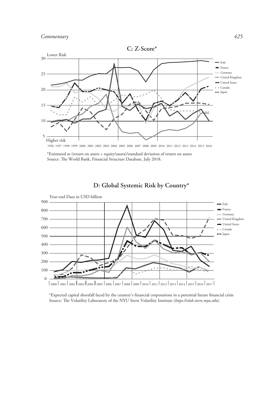



**D: Global Systemic Risk by Country\***

\*Expected capital shortfall faced by the country's financial corporations in a potential future financial crisis Source: The Volatility Laboratory of the NYU Stern Volatility Institute (https://vlab.stern.myu.edu).

<sup>\*</sup>Estimated as (return on assets + equity/assets)/standard deviation of return on assets Source: The World Bank, Financial Structure Database, July 2018.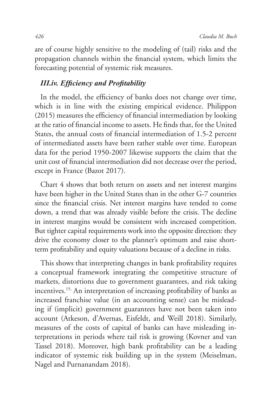are of course highly sensitive to the modeling of (tail) risks and the propagation channels within the financial system, which limits the forecasting potential of systemic risk measures.

### *III.iv. Efficiency and Profitability*

In the model, the efficiency of banks does not change over time, which is in line with the existing empirical evidence. Philippon (2015) measures the efficiency of financial intermediation by looking at the ratio of financial income to assets. He finds that, for the United States, the annual costs of financial intermediation of 1.5-2 percent of intermediated assets have been rather stable over time. European data for the period 1950-2007 likewise supports the claim that the unit cost of financial intermediation did not decrease over the period, except in France (Bazot 2017).

Chart 4 shows that both return on assets and net interest margins have been higher in the United States than in the other G-7 countries since the financial crisis. Net interest margins have tended to come down, a trend that was already visible before the crisis. The decline in interest margins would be consistent with increased competition. But tighter capital requirements work into the opposite direction: they drive the economy closer to the planner's optimum and raise shortterm profitability and equity valuations because of a decline in risks.

This shows that interpreting changes in bank profitability requires a conceptual framework integrating the competitive structure of markets, distortions due to government guarantees, and risk taking incentives.15, An interpretation of increasing profitability of banks as increased franchise value (in an accounting sense) can be misleading if (implicit) government guarantees have not been taken into account (Atkeson, d'Avernas, Eisfeldt, and Weill 2018). Similarly, measures of the costs of capital of banks can have misleading interpretations in periods where tail risk is growing (Kovner and van Tassel 2018). Moreover, high bank profitability can be a leading indicator of systemic risk building up in the system (Meiselman, Nagel and Purnanandam 2018).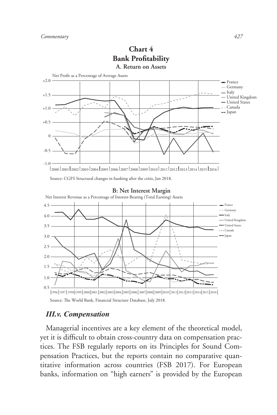

# **Chart 4**

## *III.v. Compensation*

Managerial incentives are a key element of the theoretical model, yet it is difficult to obtain cross-country data on compensation practices. The FSB regularly reports on its Principles for Sound Compensation Practices, but the reports contain no comparative quantitative information across countries (FSB 2017). For European banks, information on "high earners" is provided by the European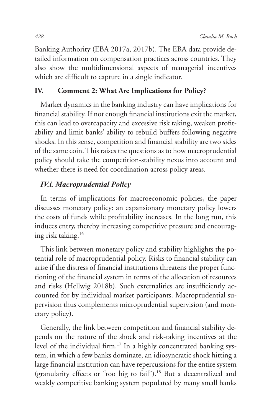Banking Authority (EBA 2017a, 2017b). The EBA data provide detailed information on compensation practices across countries. They also show the multidimensional aspects of managerial incentives which are difficult to capture in a single indicator.

## **IV. Comment 2: What Are Implications for Policy?**

Market dynamics in the banking industry can have implications for financial stability. If not enough financial institutions exit the market, this can lead to overcapacity and excessive risk taking, weaken profitability and limit banks' ability to rebuild buffers following negative shocks. In this sense, competition and financial stability are two sides of the same coin. This raises the questions as to how macroprudential policy should take the competition-stability nexus into account and whether there is need for coordination across policy areas.

## *IV.i. Macroprudential Policy*

In terms of implications for macroeconomic policies, the paper discusses monetary policy: an expansionary monetary policy lowers the costs of funds while profitability increases. In the long run, this induces entry, thereby increasing competitive pressure and encouraging risk taking.16

This link between monetary policy and stability highlights the potential role of macroprudential policy. Risks to financial stability can arise if the distress of financial institutions threatens the proper functioning of the financial system in terms of the allocation of resources and risks (Hellwig 2018b). Such externalities are insufficiently accounted for by individual market participants. Macroprudential supervision thus complements microprudential supervision (and monetary policy).

Generally, the link between competition and financial stability depends on the nature of the shock and risk-taking incentives at the level of the individual firm.<sup>17</sup> In a highly concentrated banking system, in which a few banks dominate, an idiosyncratic shock hitting a large financial institution can have repercussions for the entire system (granularity effects or "too big to fail").18 But a decentralized and weakly competitive banking system populated by many small banks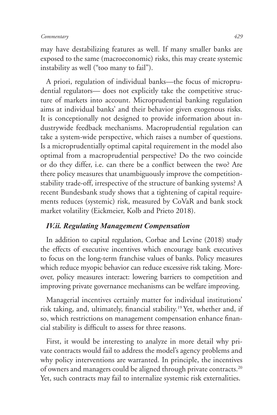may have destabilizing features as well. If many smaller banks are exposed to the same (macroeconomic) risks, this may create systemic instability as well ("too many to fail").

A priori, regulation of individual banks—the focus of microprudential regulators— does not explicitly take the competitive structure of markets into account. Microprudential banking regulation aims at individual banks' and their behavior given exogenous risks. It is conceptionally not designed to provide information about industrywide feedback mechanisms. Macroprudential regulation can take a system-wide perspective, which raises a number of questions. Is a microprudentially optimal capital requirement in the model also optimal from a macroprudential perspective? Do the two coincide or do they differ, i.e. can there be a conflict between the two? Are there policy measures that unambiguously improve the competitionstability trade-off, irrespective of the structure of banking systems? A recent Bundesbank study shows that a tightening of capital requirements reduces (systemic) risk, measured by CoVaR and bank stock market volatility (Eickmeier, Kolb and Prieto 2018).

## *IV.ii. Regulating Management Compensation*

In addition to capital regulation, Corbae and Levine (2018) study the effects of executive incentives which encourage bank executives to focus on the long-term franchise values of banks. Policy measures which reduce myopic behavior can reduce excessive risk taking. Moreover, policy measures interact: lowering barriers to competition and improving private governance mechanisms can be welfare improving.

Managerial incentives certainly matter for individual institutions' risk taking, and, ultimately, financial stability.19 Yet, whether and, if so, which restrictions on management compensation enhance financial stability is difficult to assess for three reasons.

First, it would be interesting to analyze in more detail why private contracts would fail to address the model's agency problems and why policy interventions are warranted. In principle, the incentives of owners and managers could be aligned through private contracts.<sup>20</sup> Yet, such contracts may fail to internalize systemic risk externalities.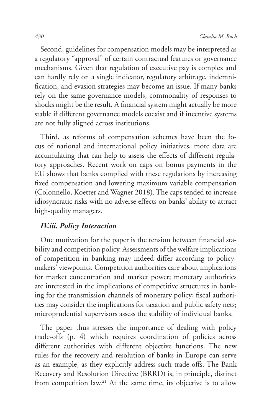Second, guidelines for compensation models may be interpreted as a regulatory "approval" of certain contractual features or governance mechanisms. Given that regulation of executive pay is complex and can hardly rely on a single indicator, regulatory arbitrage, indemnification, and evasion strategies may become an issue. If many banks rely on the same governance models, commonality of responses to shocks might be the result. A financial system might actually be more stable if different governance models coexist and if incentive systems are not fully aligned across institutions.

Third, as reforms of compensation schemes have been the focus of national and international policy initiatives, more data are accumulating that can help to assess the effects of different regulatory approaches. Recent work on caps on bonus payments in the EU shows that banks complied with these regulations by increasing fixed compensation and lowering maximum variable compensation (Colonnello, Koetter and Wagner 2018). The caps tended to increase idiosyncratic risks with no adverse effects on banks' ability to attract high-quality managers.

## *IV.iii. Policy Interaction*

One motivation for the paper is the tension between financial stability and competition policy. Assessments of the welfare implications of competition in banking may indeed differ according to policymakers' viewpoints. Competition authorities care about implications for market concentration and market power; monetary authorities are interested in the implications of competitive structures in banking for the transmission channels of monetary policy; fiscal authorities may consider the implications for taxation and public safety nets; microprudential supervisors assess the stability of individual banks.

The paper thus stresses the importance of dealing with policy trade-offs (p. 4) which requires coordination of policies across different authorities with different objective functions. The new rules for the recovery and resolution of banks in Europe can serve as an example, as they explicitly address such trade-offs. The Bank Recovery and Resolution Directive (BRRD) is, in principle, distinct from competition law.<sup>21</sup> At the same time, its objective is to allow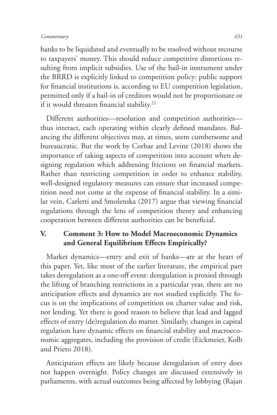banks to be liquidated and eventually to be resolved without recourse to taxpayers' money. This should reduce competitive distortions resulting from implicit subsidies. Use of the bail-in instrument under the BRRD is explicitly linked to competition policy: public support for financial institutions is, according to EU competition legislation, permitted only if a bail-in of creditors would not be proportionate or if it would threaten financial stability.<sup>22</sup>

Different authorities—resolution and competition authorities thus interact, each operating within clearly defined mandates. Balancing the different objectives may, at times, seem cumbersome and bureaucratic. But the work by Corbae and Levine (2018) shows the importance of taking aspects of competition into account when designing regulation which addressing frictions on financial markets. Rather than restricting competition in order to enhance stability, well-designed regulatory measures can ensure that increased competition need not come at the expense of financial stability. In a similar vein, Carletti and Smolenska (2017) argue that viewing financial regulations through the lens of competition theory and enhancing cooperation between different authorities can be beneficial.

## **V. Comment 3: How to Model Macroeconomic Dynamics and General Equilibrium Effects Empirically?**

Market dynamics—entry and exit of banks—are at the heart of this paper. Yet, like most of the earlier literature, the empirical part takes deregulation as a one-off event: deregulation is proxied through the lifting of branching restrictions in a particular year, there are no anticipation effects and dynamics are not studied explicitly. The focus is on the implications of competition on charter value and risk, not lending. Yet there is good reason to believe that lead and lagged effects of entry (de)regulation do matter. Similarly, changes in capital regulation have dynamic effects on financial stability and macroeconomic aggregates, including the provision of credit (Eickmeier, Kolb and Prieto 2018).

Anticipation effects are likely because deregulation of entry does not happen overnight. Policy changes are discussed extensively in parliaments, with actual outcomes being affected by lobbying (Rajan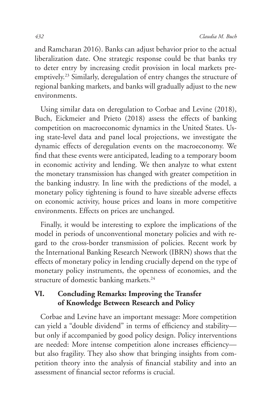and Ramcharan 2016). Banks can adjust behavior prior to the actual liberalization date. One strategic response could be that banks try to deter entry by increasing credit provision in local markets preemptively.<sup>23</sup> Similarly, deregulation of entry changes the structure of regional banking markets, and banks will gradually adjust to the new environments.

Using similar data on deregulation to Corbae and Levine (2018), Buch, Eickmeier and Prieto (2018) assess the effects of banking competition on macroeconomic dynamics in the United States. Using state-level data and panel local projections, we investigate the dynamic effects of deregulation events on the macroeconomy. We find that these events were anticipated, leading to a temporary boom in economic activity and lending. We then analyze to what extent the monetary transmission has changed with greater competition in the banking industry. In line with the predictions of the model, a monetary policy tightening is found to have sizeable adverse effects on economic activity, house prices and loans in more competitive environments. Effects on prices are unchanged.

Finally, it would be interesting to explore the implications of the model in periods of unconventional monetary policies and with regard to the cross-border transmission of policies. Recent work by the International Banking Research Network (IBRN) shows that the effects of monetary policy in lending crucially depend on the type of monetary policy instruments, the openness of economies, and the structure of domestic banking markets.<sup>24</sup>

## **VI. Concluding Remarks: Improving the Transfer of Knowledge Between Research and Policy**

Corbae and Levine have an important message: More competition can yield a "double dividend" in terms of efficiency and stability but only if accompanied by good policy design. Policy interventions are needed: More intense competition alone increases efficiency but also fragility. They also show that bringing insights from competition theory into the analysis of financial stability and into an assessment of financial sector reforms is crucial.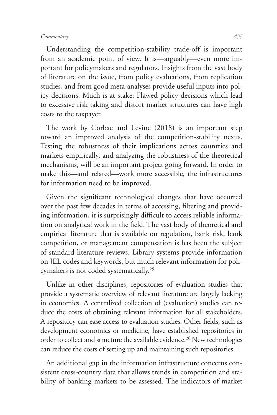Understanding the competition-stability trade-off is important from an academic point of view. It is—arguably—even more important for policymakers and regulators. Insights from the vast body of literature on the issue, from policy evaluations, from replication studies, and from good meta-analyses provide useful inputs into policy decisions. Much is at stake: Flawed policy decisions which lead to excessive risk taking and distort market structures can have high costs to the taxpayer.

The work by Corbae and Levine (2018) is an important step toward an improved analysis of the competition-stability nexus. Testing the robustness of their implications across countries and markets empirically, and analyzing the robustness of the theoretical mechanisms, will be an important project going forward. In order to make this—and related—work more accessible, the infrastructures for information need to be improved.

Given the significant technological changes that have occurred over the past few decades in terms of accessing, filtering and providing information, it is surprisingly difficult to access reliable information on analytical work in the field. The vast body of theoretical and empirical literature that is available on regulation, bank risk, bank competition, or management compensation is has been the subject of standard literature reviews. Library systems provide information on JEL codes and keywords, but much relevant information for policymakers is not coded systematically.25

Unlike in other disciplines, repositories of evaluation studies that provide a systematic overview of relevant literature are largely lacking in economics. A centralized collection of (evaluation) studies can reduce the costs of obtaining relevant information for all stakeholders. A repository can ease access to evaluation studies. Other fields, such as development economics or medicine, have established repositories in order to collect and structure the available evidence.<sup>26</sup> New technologies can reduce the costs of setting up and maintaining such repositories.

An additional gap in the information infrastructure concerns consistent cross-country data that allows trends in competition and stability of banking markets to be assessed. The indicators of market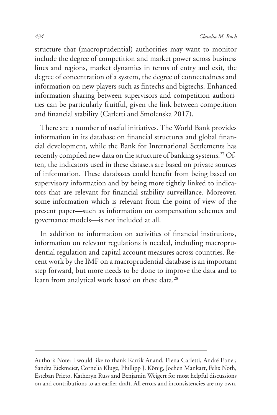structure that (macroprudential) authorities may want to monitor include the degree of competition and market power across business lines and regions, market dynamics in terms of entry and exit, the degree of concentration of a system, the degree of connectedness and information on new players such as fintechs and bigtechs. Enhanced information sharing between supervisors and competition authorities can be particularly fruitful, given the link between competition and financial stability (Carletti and Smolenska 2017).

There are a number of useful initiatives. The World Bank provides information in its database on financial structures and global financial development, while the Bank for International Settlements has recently compiled new data on the structure of banking systems.<sup>27</sup> Often, the indicators used in these datasets are based on private sources of information. These databases could benefit from being based on supervisory information and by being more tightly linked to indicators that are relevant for financial stability surveillance. Moreover, some information which is relevant from the point of view of the present paper—such as information on compensation schemes and governance models—is not included at all.

In addition to information on activities of financial institutions, information on relevant regulations is needed, including macroprudential regulation and capital account measures across countries. Recent work by the IMF on a macroprudential database is an important step forward, but more needs to be done to improve the data and to learn from analytical work based on these data.<sup>28</sup>

Author's Note: I would like to thank Kartik Anand, Elena Carletti, André Ebner, Sandra Eickmeier, Cornelia Kluge, Phillipp J. König, Jochen Mankart, Felix Noth, Esteban Prieto, Katheryn Russ and Benjamin Weigert for most helpful discussions on and contributions to an earlier draft. All errors and inconsistencies are my own.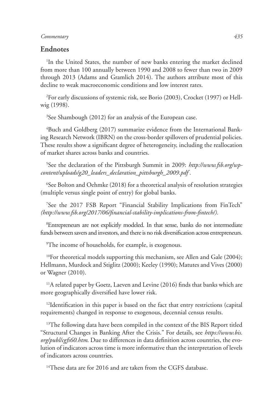#### **Endnotes**

<sup>1</sup>In the United States, the number of new banks entering the market declined from more than 100 annually between 1990 and 2008 to fewer than two in 2009 through 2013 (Adams and Gramlich 2014). The authors attribute most of this decline to weak macroeconomic conditions and low interest rates.

2 For early discussions of systemic risk, see Borio (2003), Crocket (1997) or Hellwig (1998).

<sup>3</sup>See Shambough (2012) for an analysis of the European case.

4 Buch and Goldberg (2017) summarize evidence from the International Banking Research Network (IBRN) on the cross-border spillovers of prudential policies. These results show a significant degree of heterogeneity, including the reallocation of market shares across banks and countries.

5 See the declaration of the Pittsburgh Summit in 2009: *http://www.fsb.org/wpcontent/uploads/g20\_leaders\_declaration\_pittsburgh\_2009.pdf .*

6 See Bolton and Oehmke (2018) for a theoretical analysis of resolution strategies (multiple versus single point of entry) for global banks.

7 See the 2017 FSB Report "Financial Stability Implications from FinTech" *(http://www.fsb.org/2017/06/financial-stability-implications-from-fintech/).* 

8 Entrepreneurs are not explicitly modeled. In that sense, banks do not intermediate funds between savers and investors, and there is no risk diversification across entrepreneurs.

9 The income of households, for example, is exogenous.

10For theoretical models supporting this mechanism, see Allen and Gale (2004); Hellmann, Murdock and Stiglitz (2000); Keeley (1990); Matutes and Vives (2000) or Wagner (2010).

<sup>11</sup>A related paper by Goetz, Laeven and Levine (2016) finds that banks which are more geographically diversified have lower risk.

 $12$ Identification in this paper is based on the fact that entry restrictions (capital requirements) changed in response to exogenous, decennial census results.

<sup>13</sup>The following data have been compiled in the context of the BIS Report titled "Structural Changes in Banking After the Crisis." For details, see *https://www.bis. org/publ/cgfs60.htm*. Due to differences in data definition across countries, the evolution of indicators across time is more informative than the interpretation of levels of indicators across countries.

<sup>14</sup>These data are for 2016 and are taken from the CGFS database.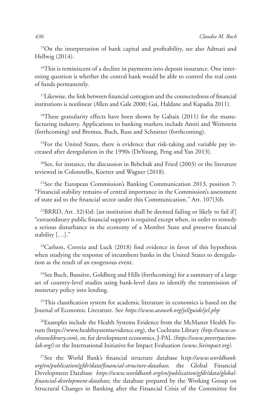15On the interpretation of bank capital and profitability, see also Admati and Hellwig (2014).

<sup>16</sup>This is reminiscent of a decline in payments into deposit insurance. One interesting question is whether the central bank would be able to control the real costs of funds permanently.

<sup>17</sup>Likewise, the link between financial contagion and the connectedness of financial institutions is nonlinear (Allen and Gale 2000; Gai, Haldane and Kapadia 2011).

<sup>18</sup>These granularity effects have been shown by Gabaix (2011) for the manufacturing industry. Applications to banking markets include Amiti and Weinstein (forthcoming) and Bremus, Buch, Russ and Schnitzer (forthcoming).

19For the United States, there is evidence that risk-taking and variable pay increased after deregulation in the 1990s (DeYoung, Peng and Yan 2013).

 $20$ See, for instance, the discussion in Bebchuk and Fried (2003) or the literature reviewed in Colonnello, Koetter and Wagner (2018).

21See the European Commission's Banking Communication 2013, position 7: "Financial stability remains of central importance in the Commission's assessment of state aid to the financial sector under this Communication." Art. 107(3)b.

 $22$ BRRD, Art. 32(4)d: [an institution shall be deemed failing or likely to fail if] "extraordinary public financial support is required except when, in order to remedy a serious disturbance in the economy of a Member State and preserve financial stability […]."

<sup>23</sup>Carlson, Correia and Luck (2018) find evidence in favor of this hypothesis when studying the response of incumbent banks in the United States to deregulation as the result of an exogenous event.

<sup>24</sup>See Buch, Bussière, Goldberg and Hills (forthcoming) for a summary of a large set of country-level studies using bank-level data to identify the transmission of monetary policy into lending.

<sup>25</sup>This classification system for academic literature in economics is based on the Journal of Economic Literature. See *https://www.aeaweb.org/jel/guide/jel.php*

<sup>26</sup>Examples include the Health Systems Evidence from the McMaster Health Forum (https://www.healthsystemsevidence.org), the Cochrane Library *(http://www.cochranelibrary.com*), or, for development economics, J-PAL *(https://www.povertyactionlab.org/)* or the International Initiative for Impact Evaluation *(www.3ieimpact.org).* 

27See the World Bank's financial structure database h*ttp://www.worldbank. org/en/publication/gfdr/data/financial-structure-database*, the Global Financial Development Database *https://www.worldbank.org/en/publication/gfdr/data/globalfinancial-development-database*, the database prepared by the Working Group on Structural Changes in Banking after the Financial Crisis of the Committee for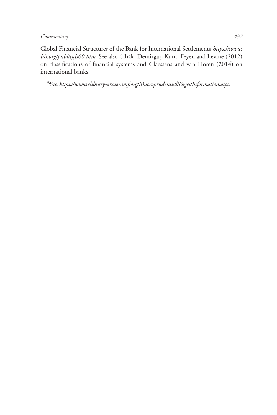Global Financial Structures of the Bank for International Settlements *https://www. bis.org/publ/cgfs60.htm.* See also Čihák, Demirgüç-Kunt, Feyen and Levine (2012) on classifications of financial systems and Claessens and van Horen (2014) on international banks.

28See *https://www.elibrary-areaer.imf.org/Macroprudential/Pages/Information.aspx*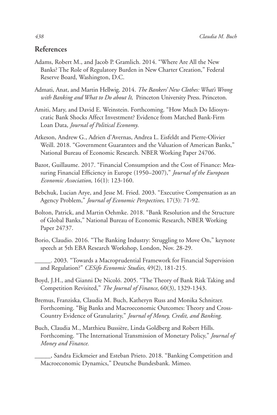#### **References**

- Adams, Robert M., and Jacob P. Gramlich. 2014. "Where Are All the New Banks? The Role of Regulatory Burden in New Charter Creation," Federal Reserve Board, Washington, D.C.
- Admati, Anat, and Martin Hellwig. 2014. *The Bankers' New Clothes: What's Wrong with Banking and What to Do about It*, Princeton University Press. Princeton.
- Amiti, Mary, and David E. Weinstein. Forthcoming. "How Much Do Idiosyncratic Bank Shocks Affect Investment? Evidence from Matched Bank-Firm Loan Data, *Journal of Political Economy*.
- Atkeson, Andrew G., Adrien d'Avernas, Andrea L. Eisfeldt and Pierre-Olivier Weill. 2018. "Government Guarantees and the Valuation of American Banks," National Bureau of Economic Research. NBER Working Paper 24706.
- Bazot, Guillaume. 2017. "Financial Consumption and the Cost of Finance: Measuring Financial Efficiency in Europe (1950–2007)," *Journal of the European Economic Association*, 16(1): 123-160.
- Bebchuk, Lucian Arye, and Jesse M. Fried. 2003. "Executive Compensation as an Agency Problem," *Journal of Economic Perspectives*, 17(3): 71-92.
- Bolton, Patrick, and Martin Oehmke. 2018. "Bank Resolution and the Structure of Global Banks," National Bureau of Economic Research, NBER Working Paper 24737.
- Borio, Claudio. 2016. "The Banking Industry: Struggling to Move On," keynote speech at 5th EBA Research Workshop, London, Nov. 28-29.
- \_\_\_\_\_. 2003. "Towards a Macroprudential Framework for Financial Supervision and Regulation?" *CESifo Economic Studies*, 49(2), 181-215.
- Boyd, J.H., and Gianni De Nicoló. 2005. "The Theory of Bank Risk Taking and Competition Revisited," *The Journal of Finance*, 60(3), 1329-1343.
- Bremus, Franziska, Claudia M. Buch, Katheryn Russ and Monika Schnitzer. Forthcoming. "Big Banks and Macroeconomic Outcomes: Theory and Cross-Country Evidence of Granularity," *Journal of Money, Credit, and Banking*.
- Buch, Claudia M., Matthieu Bussière, Linda Goldberg and Robert Hills. Forthcoming. "The International Transmission of Monetary Policy," *Journal of Money and Finance.*

\_\_\_\_\_, Sandra Eickmeier and Esteban Prieto. 2018. "Banking Competition and Macroeconomic Dynamics," Deutsche Bundesbank. Mimeo.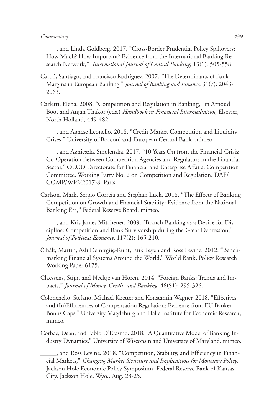\_\_\_\_\_, and Linda Goldberg. 2017. "Cross-Border Prudential Policy Spillovers: How Much? How Important? Evidence from the International Banking Research Network," *International Journal of Central Banking*, 13(1): 505-558.

- Carbó, Santiago, and Francisco Rodríguez. 2007. "The Determinants of Bank Margins in European Banking," *Journal of Banking and Finance*, 31(7): 2043- 2063.
- Carletti, Elena. 2008. "Competition and Regulation in Banking," in Arnoud Boot and Anjan Thakor (eds.) *Handbook in Financial Intermediation*, Elsevier, North Holland, 449-482.

\_\_\_\_\_, and Agnese Leonello. 2018. "Credit Market Competition and Liquidity Crises," University of Bocconi and European Central Bank, mimeo.

\_\_\_\_\_, and Agnieszka Smolenska. 2017. "10 Years On from the Financial Crisis: Co-Operation Between Competition Agencies and Regulators in the Financial Sector," OECD Directorate for Financial and Enterprise Affairs, Competition Committee, Working Party No. 2 on Competition and Regulation. DAF/ COMP/WP2(2017)8. Paris.

Carlson, Mark, Sergio Correia and Stephan Luck. 2018. "The Effects of Banking Competition on Growth and Financial Stability: Evidence from the National Banking Era," Federal Reserve Board, mimeo.

\_\_\_\_\_, and Kris James Mitchener. 2009. "Branch Banking as a Device for Discipline: Competition and Bank Survivorship during the Great Depression," *Journal of Political Economy*, 117(2): 165-210.

- Čihák, Martin, Aslı Demirgüç-Kunt, Erik Feyen and Ross Levine. 2012. "Benchmarking Financial Systems Around the World," World Bank, Policy Research Working Paper 6175.
- Claessens, Stijn, and Neeltje van Horen. 2014. "Foreign Banks: Trends and Impacts," *Journal of Money, Credit, and Banking*, 46(S1): 295-326.
- Colonenello, Stefano, Michael Koetter and Konstantin Wagner. 2018. "Effectives and (In)Efficiencies of Compensation Regulation: Evidence from EU Banker Bonus Caps," University Magdeburg and Halle Institute for Economic Research, mimeo.
- Corbae, Dean, and Pablo D'Erasmo. 2018. "A Quantitative Model of Banking Industry Dynamics," University of Wisconsin and University of Maryland, mimeo.

\_\_\_\_\_, and Ross Levine. 2018. "Competition, Stability, and Efficiency in Financial Markets," *Changing Market Structure and Implications for Monetary Policy*, Jackson Hole Economic Policy Symposium, Federal Reserve Bank of Kansas City, Jackson Hole, Wyo., Aug. 23-25.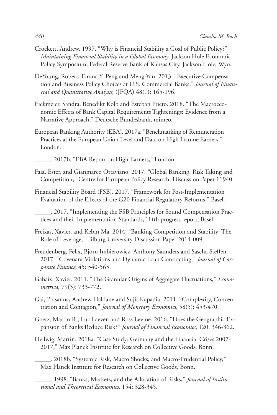- Crockett, Andrew. 1997. "Why is Financial Stability a Goal of Public Policy?" *Maintaining Financial Stability in a Global Economy*, Jackson Hole Economic Policy Symposium, Federal Reserve Bank of Kansas City, Jackson Hole, Wyo.
- DeYoung, Robert, Emma Y. Peng and Meng Yan. 2013. "Executive Compensation and Business Policy Choices at U.S. Commercial Banks," *Journal of Financial and Quantitative Analysis*, (JFQA) 48(1): 165-196.
- Eickmeier, Sandra, Benedikt Kolb and Esteban Prieto. 2018. "The Macroeconomic Effects of Bank Capital Requirements Tightenings: Evidence from a Narrative Approach," Deutsche Bundesbank, mimeo.
- European Banking Authority (EBA). 2017a. "Benchmarking of Remuneration Practices at the European Union Level and Data on High Income Earners," London.
- \_\_\_\_\_. 2017b. "EBA Report on High Earners," London.
- Faia, Ester, and Gianmarco Ottaviano. 2017. "Global Banking: Risk Taking and Competition," Centre for European Policy Research, Discussion Paper 11940.
- Financial Stability Board (FSB). 2017. "Framework for Post-Implementation Evaluation of the Effects of the G20 Financial Regulatory Reforms," Basel.

\_\_\_\_\_. 2017. "Implementing the FSB Principles for Sound Compensation Practices and their Implementation Standards," fifth progress report, Basel.

- Freixas, Xavier, and Kebin Ma. 2014. "Banking Competition and Stability: The Role of Leverage," Tilburg University Discussion Paper 2014-009.
- Freudenberg, Felix, Björn Imbierowicz, Anthony Saunders and Sascha Steffen. 2017. "Covenant Violations and Dynamic Loan Contracting," *Journal of Corporate Finance*, 45: 540-565.
- Gabaix, Xavier. 2011. "The Granular Origins of Aggregate Fluctuations," *Econometrica*, 79(3): 733-772.
- Gai, Prasanna, Andrew Haldane and Sujit Kapadia. 2011. "Complexity, Concentration and Contagion," *Journal of Monetary Economics*, 58(5): 453-470.
- Goetz, Martin R., Luc Laeven and Ross Levine. 2016. "Does the Geographic Expansion of Banks Reduce Risk?" *Journal of Financial Economics*, 120: 346-362.
- Hellwig, Martin. 2018a. "Case Study: Germany and the Financial Crises 2007- 2017," Max Planck Institute for Research on Collective Goods, Bonn.
	- \_\_\_\_\_. 2018b. "Systemic Risk, Macro Shocks, and Macro-Prudential Policy," Max Planck Institute for Research on Collective Goods, Bonn.
	- \_\_\_\_\_. 1998. "Banks, Markets, and the Allocation of Risks," *Journal of Institutional and Theoretical Economics*, 154: 328-345.